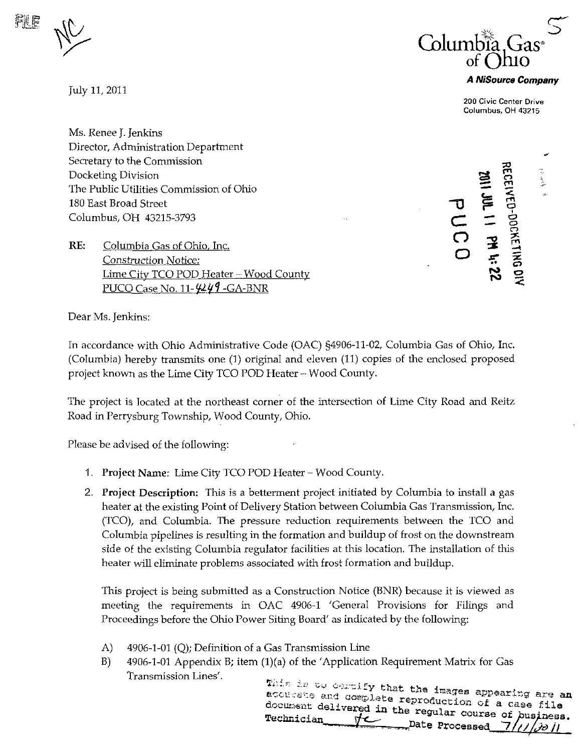

July 11, 2011



## A NiSource Company

200 Civic Center Drive Columbus, OH 43215

Ms. Renee J. Jenkins Director, Administration Department Secretary to the Commission Docketing Division The Public Utilities Commission of Ohio 180 East Broad Street Columbus, OH 43215-3793

RE: Columbia Gas of Ohio, Inc. Construction Notice: Lime City TCO POD Heater - Wood County PUCO Case No. 11- $\frac{\mu\mu}{4}$ -GA-BNR

 $\mathbf{\tau}$  $\subset$  = O o 3 **.** 201 | 1 3 بر.<br>23 ro 70 rn o m  $\tilde{\mathcal{P}}$ ë Ò o r>  $\widehat{\mathsf{m}}$  $\vec{z}$ O  $\ddot{\phantom{1}}$ 

Dear Ms. Jenkins:

In accordance with Ohio Administrative Code (OAC) §4906-11-02, Columbia Gas of Ohio, Inc. (Columbia) hereby transmits one (1) original and eleven (11) copies of the enclosed proposed project known as the Lime City TCO POD Heater ~ Wood County.

The project is located at the northeast corner of the intersection of Lime City Road and Reitz Road tn Perrysburg Township, Wood County, Ohio.

Please be advised of the following:

- 1. Project Name: Lime City TCO POD Heater Wood County.
- 2. Project Description: This is a betterment project initiated by Colmnbia to install a gas heater at the existing Point of Delivery Station between Columbia Gas Transmission, Inc. (TCO), and Columbia. The pressure reduction requirements between the TCO and Columbia pipelines is resulting in the formation and buildup of frost on the downstream side of the existing Columbia regulator facilities at this location. The installation of this heater will eliminate problems associated with frost formation and buildup.

This project is being submitted as a Construction Notice (BNR) because it is viewed as meeting the requirements in OAC 4906-1 'General Provisions for Filings and Proceedings before the Ohio Power Siting Board' as indicated by the following:

- A) 4906-1-01 (Q); Definition of a Gas Transmission Line
- B) 4906-1-01 Appendix B; item (1)(a) of the 'Application Requirement Matrix for Gas

This is to certify that the images appearing are an infinite the images appearing are an acourste and complete reproduction of a case file document delivered in the regular course of business.<br>Technician  $\overbrace{ }$  Pate Processed  $\overline{ }$ //// $\overline{ }$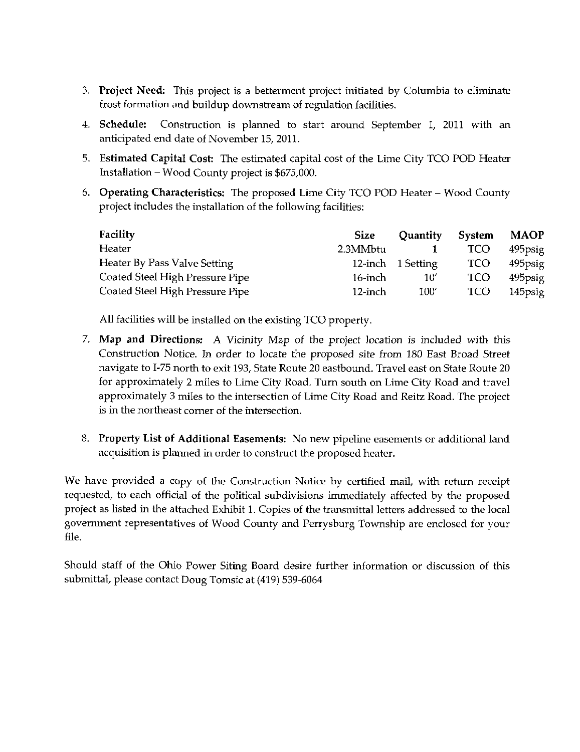- 3. Project Need: This project is a betterment project initiated by Columbia to eliminate frost formation and buildup downstream of regulation facilities.
- 4. Schedule: Construction is planned to start around September 1, 2011 with an anticipated end date of November 15, 2011.
- 5. Estimated Capital Cost: The estimated capital cost of the Lime City TCO POD Heater Installation  $-$  Wood County project is \$675,000.
- 6. Operating Characteristics: The proposed Lime City TCO POD Heater Wood County project includes the installation of the following facilities:

| Facility                        | <b>Size</b> | Quantity          | <b>System</b> | <b>MAOP</b> |
|---------------------------------|-------------|-------------------|---------------|-------------|
| Heater                          | 2.3MMbtu    |                   | <b>TCO</b>    | 495psig     |
| Heater By Pass Valve Setting    |             | 12-inch 1 Setting | <b>TCO</b>    | 495psig     |
| Coated Steel High Pressure Pipe | 16-inch     | 10′               | <b>TCO</b>    | 495psig     |
| Coated Steel High Pressure Pipe | $12$ -inch  | 100'              | <b>TCO</b>    | 145psig     |

All facilities will be installed on the existing TCO property.

- 7. Map and Directions: A Vicinity Map of the project location is included with ihis Construction Notice. In order to locate the proposed site from 180 East Broad Street navigate to 1-75 north to exit 193, State Route 20 eastbound. Travel east on State Route 20 for approximately 2 miles to Lime City Road. Turn south on Lime City Road and travel approximately 3 miles to the intersection of Lime City Road and Reitz Road. The project is in the northeast corner of the intersection.
- 8. Property List of Additional Easements: No new pipeline easements or additional land acquisition is planned in order to construct the proposed heater.

We have provided a copy of the Construction Notice by certified mail, with retum receipt requested, to each official of the political subdivisions immediately affected by the proposed project as hsted in the attached Exhibit 1. Copies of the transmittal letters addressed to the local government representatives of Wood County and Perrysburg Township are enclosed for your file.

Should staff of the Ohio Power Siting Board desire further information or discussion of this submittal, please contact Doug Tomsic at (419) 539-6064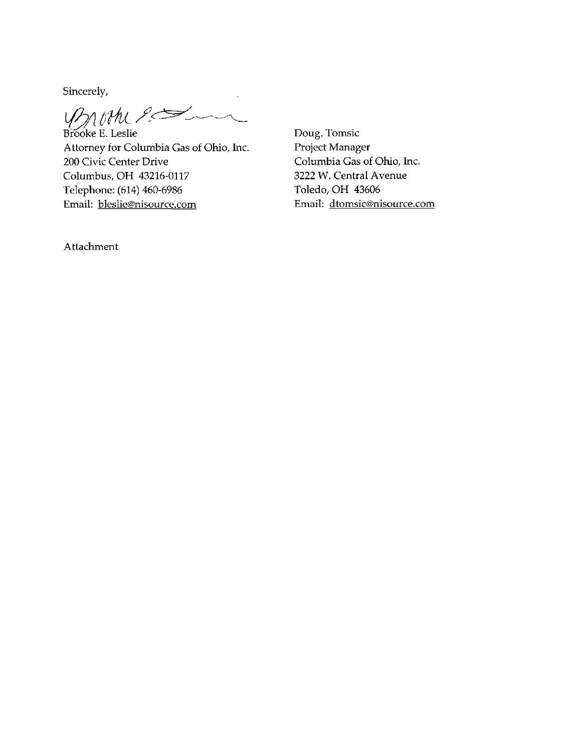Sincerely,

promession

Brooke E. Leslie Attorney for Columbia Gas of Ohio, Inc. 200 Civic Center Drive Columbus, OH 43216-0117 Telephone: (614) 460-6986 Email: [bleslie@nisource.com](mailto:bleslie@nisource.com)

Doug. Tomsic Project Manager Columbia Gas of Ohio, Inc. 3222 W. Central Avenue Toledo, OH 43606 Email: [dtomsic@nisource.com](mailto:dtomsic@nisource.com) 

Attachment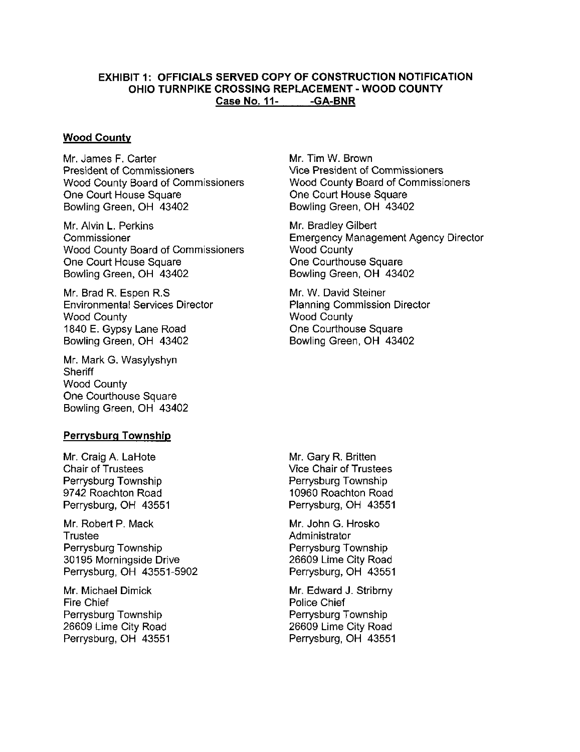## EXHIBIT 1: OFFICIALS SERVED COPY OF CONSTRUCTION NOTIFICATION OHIO TURNPIKE CROSSING REPLACEMENT - WOOD COUNTY Case No. 11- - GA-BNR

## Wood County

Mr. James F. Carter President of Commissioners Wood County Board of Commissioners One Court House Square Bowling Green, OH 43402

Mr. Alvin L. Perkins Commissioner Wood County Board of Commissioners One Court House Square Bowling Green, OH 43402

Mr. Brad R. Espen R.S Environmental Services Director Wood County 1840 E. Gypsy Lane Road Bowling Green, OH 43402

Mr. Mark G. Wasylyshyn **Sheriff** Wood County One Courthouse Square Bowling Green, OH 43402

## Perrysburg Township

Mr. Craig A. LaHote Chair of Trustees Perrysburg Township 9742 Roachton Road Perrysburg, OH 43551

Mr. Robert P. Mack **Trustee** Perrysburg Township 30195 Morningside Drive Perrysburg. OH 43551-5902

Mr. Michael Dimick Fire Chief Perrysburg Township 26609 Lime City Road Perrysburg, OH 43551 Mr. Tim W. Brown Vice President of Commissioners Wood County Board of Commissioners One Court House Square Bowling Green, OH 43402

Mr. Bradley Gilbert Emergency Management Agency Director Wood County One Courthouse Square Bowling Green, OH 43402

Mr. W. David Steiner Planning Commission Director Wood County One Courthouse Square Bowling Green, OH 43402

Mr. Gary R. Britten Vice Chair of Trustees Perrysburg Township 10960 Roachton Road Perrysburg, OH 43551

Mr. John G. Hrosko Administrator Perrysburg Township 26609 Lime City Road Perrysburg, OH 43551

Mr. Edward J. Stribrny Police Chief Perrysburg Township 26609 Lime City Road Perrysburg, OH 43551